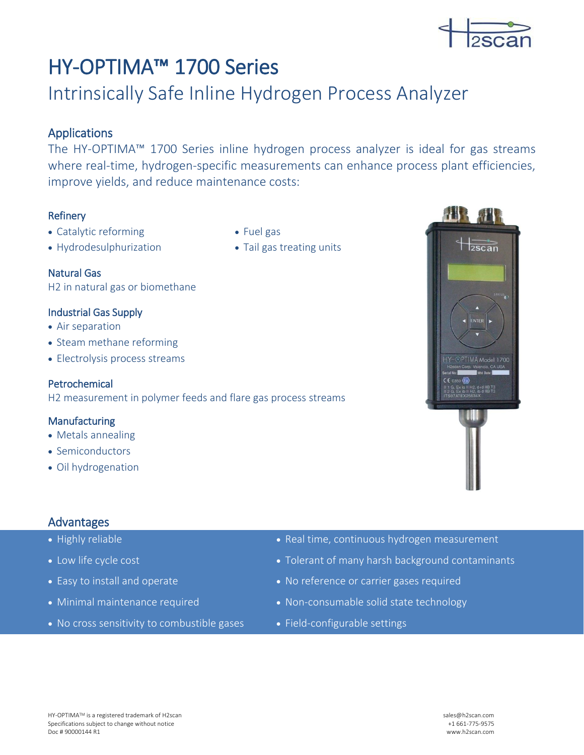

# HY-OPTIMA™ 1700 Series

## Intrinsically Safe Inline Hydrogen Process Analyzer

## Applications

The HY-OPTIMA™ 1700 Series inline hydrogen process analyzer is ideal for gas streams where real-time, hydrogen-specific measurements can enhance process plant efficiencies, improve yields, and reduce maintenance costs:

## Refinery

- Catalytic reforming
- Hydrodesulphurization
- Fuel gas • Tail gas treating units
- Natural Gas H2 in natural gas or biomethane

#### Industrial Gas Supply

- Air separation
- Steam methane reforming
- Electrolysis process streams

#### Petrochemical

H2 measurement in polymer feeds and flare gas process streams

#### Manufacturing

- Metals annealing
- Semiconductors
- Oil hydrogenation

## Advantages

- 
- 
- 
- 
- No cross sensitivity to combustible gases Field-configurable settings
- Highly reliable Real time, continuous hydrogen measurement
- Low life cycle cost  **Tolerant of many harsh background contaminants**
- Easy to install and operate No reference or carrier gases required
- Minimal maintenance required Non-consumable solid state technology
	-